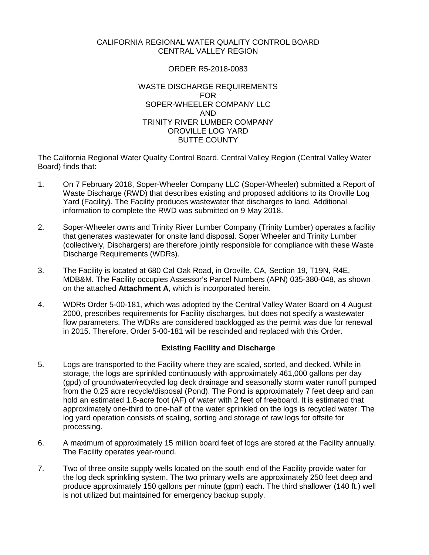## CALIFORNIA REGIONAL WATER QUALITY CONTROL BOARD CENTRAL VALLEY REGION

#### ORDER R5-2018-0083

#### WASTE DISCHARGE REQUIREMENTS FOR SOPER-WHEELER COMPANY LLC AND TRINITY RIVER LUMBER COMPANY OROVILLE LOG YARD BUTTE COUNTY

The California Regional Water Quality Control Board, Central Valley Region (Central Valley Water Board) finds that:

- 1. On 7 February 2018, Soper-Wheeler Company LLC (Soper-Wheeler) submitted a Report of Waste Discharge (RWD) that describes existing and proposed additions to its Oroville Log Yard (Facility). The Facility produces wastewater that discharges to land. Additional information to complete the RWD was submitted on 9 May 2018.
- 2. Soper-Wheeler owns and Trinity River Lumber Company (Trinity Lumber) operates a facility that generates wastewater for onsite land disposal. Soper Wheeler and Trinity Lumber (collectively, Dischargers) are therefore jointly responsible for compliance with these Waste Discharge Requirements (WDRs).
- 3. The Facility is located at 680 Cal Oak Road, in Oroville, CA, Section 19, T19N, R4E, MDB&M. The Facility occupies Assessor's Parcel Numbers (APN) 035-380-048, as shown on the attached **Attachment A**, which is incorporated herein.
- 4. WDRs Order 5-00-181, which was adopted by the Central Valley Water Board on 4 August 2000, prescribes requirements for Facility discharges, but does not specify a wastewater flow parameters. The WDRs are considered backlogged as the permit was due for renewal in 2015. Therefore, Order 5-00-181 will be rescinded and replaced with this Order.

## **Existing Facility and Discharge**

- 5. Logs are transported to the Facility where they are scaled, sorted, and decked. While in storage, the logs are sprinkled continuously with approximately 461,000 gallons per day (gpd) of groundwater/recycled log deck drainage and seasonally storm water runoff pumped from the 0.25 acre recycle/disposal (Pond). The Pond is approximately 7 feet deep and can hold an estimated 1.8-acre foot (AF) of water with 2 feet of freeboard. It is estimated that approximately one-third to one-half of the water sprinkled on the logs is recycled water. The log yard operation consists of scaling, sorting and storage of raw logs for offsite for processing.
- 6. A maximum of approximately 15 million board feet of logs are stored at the Facility annually. The Facility operates year-round.
- 7. Two of three onsite supply wells located on the south end of the Facility provide water for the log deck sprinkling system. The two primary wells are approximately 250 feet deep and produce approximately 150 gallons per minute (gpm) each. The third shallower (140 ft.) well is not utilized but maintained for emergency backup supply.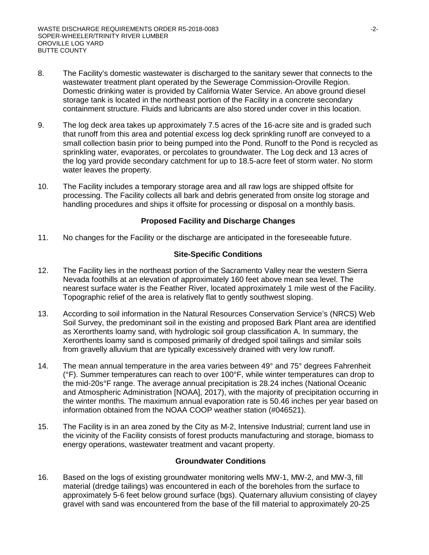- 8. The Facility's domestic wastewater is discharged to the sanitary sewer that connects to the wastewater treatment plant operated by the Sewerage Commission-Oroville Region. Domestic drinking water is provided by California Water Service. An above ground diesel storage tank is located in the northeast portion of the Facility in a concrete secondary containment structure. Fluids and lubricants are also stored under cover in this location.
- 9. The log deck area takes up approximately 7.5 acres of the 16-acre site and is graded such that runoff from this area and potential excess log deck sprinkling runoff are conveyed to a small collection basin prior to being pumped into the Pond. Runoff to the Pond is recycled as sprinkling water, evaporates, or percolates to groundwater. The Log deck and 13 acres of the log yard provide secondary catchment for up to 18.5-acre feet of storm water. No storm water leaves the property.
- 10. The Facility includes a temporary storage area and all raw logs are shipped offsite for processing. The Facility collects all bark and debris generated from onsite log storage and handling procedures and ships it offsite for processing or disposal on a monthly basis.

#### **Proposed Facility and Discharge Changes**

11. No changes for the Facility or the discharge are anticipated in the foreseeable future.

## **Site-Specific Conditions**

- 12. The Facility lies in the northeast portion of the Sacramento Valley near the western Sierra Nevada foothills at an elevation of approximately 160 feet above mean sea level. The nearest surface water is the Feather River, located approximately 1 mile west of the Facility. Topographic relief of the area is relatively flat to gently southwest sloping.
- 13. According to soil information in the Natural Resources Conservation Service's (NRCS) Web Soil Survey, the predominant soil in the existing and proposed Bark Plant area are identified as Xerorthents loamy sand, with hydrologic soil group classification A. In summary, the Xerorthents loamy sand is composed primarily of dredged spoil tailings and similar soils from gravelly alluvium that are typically excessively drained with very low runoff.
- 14. The mean annual temperature in the area varies between 49° and 75° degrees Fahrenheit (°F). Summer temperatures can reach to over 100°F, while winter temperatures can drop to the mid-20s°F range. The average annual precipitation is 28.24 inches (National Oceanic and Atmospheric Administration [NOAA], 2017), with the majority of precipitation occurring in the winter months. The maximum annual evaporation rate is 50.46 inches per year based on information obtained from the NOAA COOP weather station (#046521).
- 15. The Facility is in an area zoned by the City as M-2, Intensive Industrial; current land use in the vicinity of the Facility consists of forest products manufacturing and storage, biomass to energy operations, wastewater treatment and vacant property.

## **Groundwater Conditions**

16. Based on the logs of existing groundwater monitoring wells MW-1, MW-2, and MW-3, fill material (dredge tailings) was encountered in each of the boreholes from the surface to approximately 5-6 feet below ground surface (bgs). Quaternary alluvium consisting of clayey gravel with sand was encountered from the base of the fill material to approximately 20-25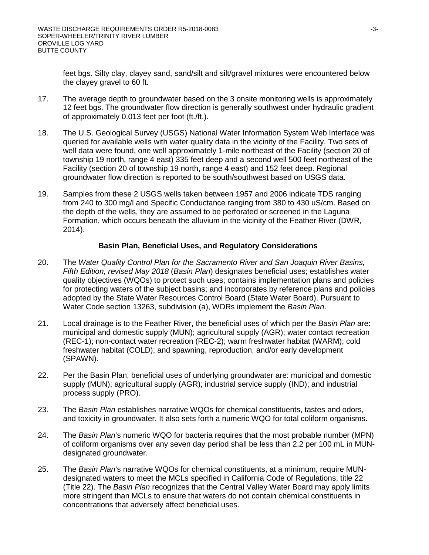feet bgs. Silty clay, clayey sand, sand/silt and silt/gravel mixtures were encountered below the clayey gravel to 60 ft.

- 17. The average depth to groundwater based on the 3 onsite monitoring wells is approximately 12 feet bgs. The groundwater flow direction is generally southwest under hydraulic gradient of approximately 0.013 feet per foot (ft./ft.).
- 18. The U.S. Geological Survey (USGS) National Water Information System Web Interface was queried for available wells with water quality data in the vicinity of the Facility. Two sets of well data were found, one well approximately 1-mile northeast of the Facility (section 20 of township 19 north, range 4 east) 335 feet deep and a second well 500 feet northeast of the Facility (section 20 of township 19 north, range 4 east) and 152 feet deep. Regional groundwater flow direction is reported to be south/southwest based on USGS data.
- 19. Samples from these 2 USGS wells taken between 1957 and 2006 indicate TDS ranging from 240 to 300 mg/l and Specific Conductance ranging from 380 to 430 uS/cm. Based on the depth of the wells, they are assumed to be perforated or screened in the Laguna Formation, which occurs beneath the alluvium in the vicinity of the Feather River (DWR, 2014).

#### **Basin Plan, Beneficial Uses, and Regulatory Considerations**

- 20. The *Water Quality Control Plan for the Sacramento River and San Joaquin River Basins, Fifth Edition, revised May 2018* (*Basin Plan*) designates beneficial uses; establishes water quality objectives (WQOs) to protect such uses; contains implementation plans and policies for protecting waters of the subject basins; and incorporates by reference plans and policies adopted by the State Water Resources Control Board (State Water Board). Pursuant to Water Code section 13263, subdivision (a), WDRs implement the *Basin Plan*.
- 21. Local drainage is to the Feather River, the beneficial uses of which per the *Basin Plan* are: municipal and domestic supply (MUN); agricultural supply (AGR); water contact recreation (REC-1); non-contact water recreation (REC-2); warm freshwater habitat (WARM); cold freshwater habitat (COLD); and spawning, reproduction, and/or early development (SPAWN).
- 22. Per the Basin Plan, beneficial uses of underlying groundwater are: municipal and domestic supply (MUN); agricultural supply (AGR); industrial service supply (IND); and industrial process supply (PRO).
- 23. The *Basin Plan* establishes narrative WQOs for chemical constituents, tastes and odors, and toxicity in groundwater. It also sets forth a numeric WQO for total coliform organisms.
- 24. The *Basin Plan*'s numeric WQO for bacteria requires that the most probable number (MPN) of coliform organisms over any seven day period shall be less than 2.2 per 100 mL in MUNdesignated groundwater.
- 25. The *Basin Plan*'s narrative WQOs for chemical constituents, at a minimum, require MUNdesignated waters to meet the MCLs specified in California Code of Regulations, title 22 (Title 22). The *Basin Plan* recognizes that the Central Valley Water Board may apply limits more stringent than MCLs to ensure that waters do not contain chemical constituents in concentrations that adversely affect beneficial uses.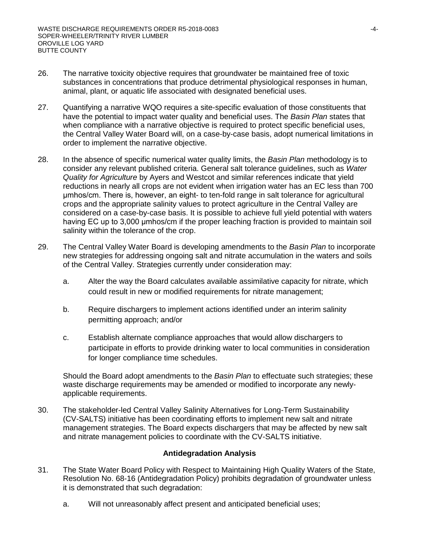- 26. The narrative toxicity objective requires that groundwater be maintained free of toxic substances in concentrations that produce detrimental physiological responses in human, animal, plant, or aquatic life associated with designated beneficial uses.
- 27. Quantifying a narrative WQO requires a site-specific evaluation of those constituents that have the potential to impact water quality and beneficial uses. The *Basin Plan* states that when compliance with a narrative objective is required to protect specific beneficial uses, the Central Valley Water Board will, on a case-by-case basis, adopt numerical limitations in order to implement the narrative objective.
- 28. In the absence of specific numerical water quality limits, the *Basin Plan* methodology is to consider any relevant published criteria. General salt tolerance guidelines, such as *Water Quality for Agriculture* by Ayers and Westcot and similar references indicate that yield reductions in nearly all crops are not evident when irrigation water has an EC less than 700 μmhos/cm. There is, however, an eight- to ten-fold range in salt tolerance for agricultural crops and the appropriate salinity values to protect agriculture in the Central Valley are considered on a case-by-case basis. It is possible to achieve full yield potential with waters having EC up to 3,000 μmhos/cm if the proper leaching fraction is provided to maintain soil salinity within the tolerance of the crop.
- 29. The Central Valley Water Board is developing amendments to the *Basin Plan* to incorporate new strategies for addressing ongoing salt and nitrate accumulation in the waters and soils of the Central Valley. Strategies currently under consideration may:
	- a. Alter the way the Board calculates available assimilative capacity for nitrate, which could result in new or modified requirements for nitrate management;
	- b. Require dischargers to implement actions identified under an interim salinity permitting approach; and/or
	- c. Establish alternate compliance approaches that would allow dischargers to participate in efforts to provide drinking water to local communities in consideration for longer compliance time schedules.

Should the Board adopt amendments to the *Basin Plan* to effectuate such strategies; these waste discharge requirements may be amended or modified to incorporate any newlyapplicable requirements.

30. The stakeholder-led Central Valley Salinity Alternatives for Long-Term Sustainability (CV-SALTS) initiative has been coordinating efforts to implement new salt and nitrate management strategies. The Board expects dischargers that may be affected by new salt and nitrate management policies to coordinate with the CV-SALTS initiative.

## **Antidegradation Analysis**

- 31. The State Water Board Policy with Respect to Maintaining High Quality Waters of the State, Resolution No. 68-16 (Antidegradation Policy) prohibits degradation of groundwater unless it is demonstrated that such degradation:
	- a. Will not unreasonably affect present and anticipated beneficial uses;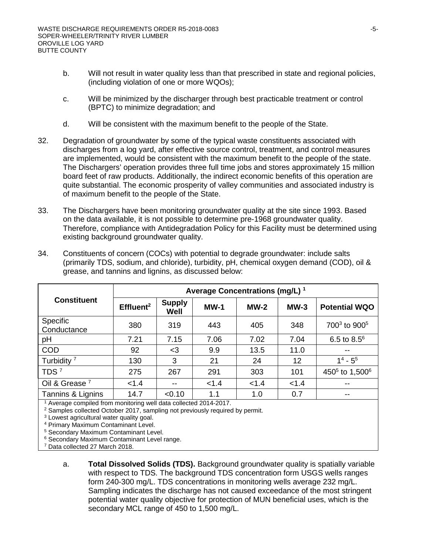- b. Will not result in water quality less than that prescribed in state and regional policies, (including violation of one or more WQOs);
- c. Will be minimized by the discharger through best practicable treatment or control (BPTC) to minimize degradation; and
- d. Will be consistent with the maximum benefit to the people of the State.
- 32. Degradation of groundwater by some of the typical waste constituents associated with discharges from a log yard, after effective source control, treatment, and control measures are implemented, would be consistent with the maximum benefit to the people of the state. The Dischargers' operation provides three full time jobs and stores approximately 15 million board feet of raw products. Additionally, the indirect economic benefits of this operation are quite substantial. The economic prosperity of valley communities and associated industry is of maximum benefit to the people of the State.
- 33. The Dischargers have been monitoring groundwater quality at the site since 1993. Based on the data available, it is not possible to determine pre-1968 groundwater quality. Therefore, compliance with Antidegradation Policy for this Facility must be determined using existing background groundwater quality.

| <b>Constituent</b>             | Average Concentrations (mg/L) <sup>1</sup> |                       |        |        |        |                                        |
|--------------------------------|--------------------------------------------|-----------------------|--------|--------|--------|----------------------------------------|
|                                | Effluent <sup>2</sup>                      | <b>Supply</b><br>Well | $MW-1$ | $MW-2$ | $MW-3$ | <b>Potential WQO</b>                   |
| <b>Specific</b><br>Conductance | 380                                        | 319                   | 443    | 405    | 348    | 700 <sup>3</sup> to 900 <sup>5</sup>   |
| pH                             | 7.21                                       | 7.15                  | 7.06   | 7.02   | 7.04   | 6.5 to $8.5^6$                         |
| <b>COD</b>                     | 92                                         | $<$ 3                 | 9.9    | 13.5   | 11.0   |                                        |
| Turbidity <sup>7</sup>         | 130                                        | 3                     | 21     | 24     | 12     | $1^4 - 5^5$                            |
| TDS <sup>7</sup>               | 275                                        | 267                   | 291    | 303    | 101    | 450 <sup>5</sup> to 1,500 <sup>6</sup> |
| Oil & Grease <sup>7</sup>      | < 1.4                                      | $- -$                 | < 1.4  | < 1.4  | < 1.4  | --                                     |
| Tannins & Lignins              | 14.7                                       | < 0.10                | 1.1    | 1.0    | 0.7    |                                        |

34. Constituents of concern (COCs) with potential to degrade groundwater: include salts (primarily TDS, sodium, and chloride), turbidity, pH, chemical oxygen demand (COD), oil & grease, and tannins and lignins, as discussed below:

<sup>1</sup> Average compiled from monitoring well data collected 2014-2017.

<sup>2</sup> Samples collected October 2017, sampling not previously required by permit.

<sup>3</sup> Lowest agricultural water quality goal.

<sup>4</sup> Primary Maximum Contaminant Level.

<sup>5</sup> Secondary Maximum Contaminant Level.

<sup>6</sup> Secondary Maximum Contaminant Level range.

<sup>7</sup> Data collected 27 March 2018.

a. **Total Dissolved Solids (TDS).** Background groundwater quality is spatially variable with respect to TDS. The background TDS concentration form USGS wells ranges form 240-300 mg/L. TDS concentrations in monitoring wells average 232 mg/L. Sampling indicates the discharge has not caused exceedance of the most stringent potential water quality objective for protection of MUN beneficial uses, which is the secondary MCL range of 450 to 1,500 mg/L.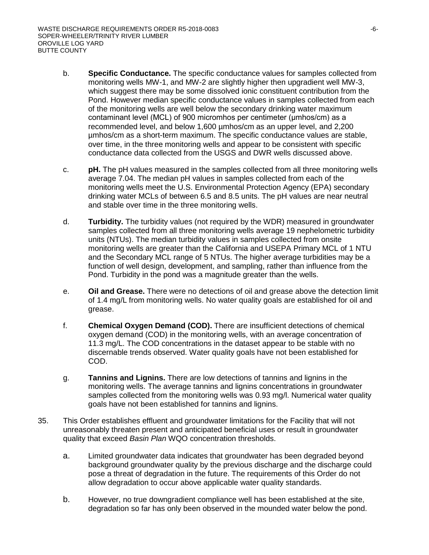- b. **Specific Conductance.** The specific conductance values for samples collected from monitoring wells MW-1, and MW-2 are slightly higher then upgradient well MW-3, which suggest there may be some dissolved ionic constituent contribution from the Pond. However median specific conductance values in samples collected from each of the monitoring wells are well below the secondary drinking water maximum contaminant level (MCL) of 900 micromhos per centimeter (μmhos/cm) as a recommended level, and below 1,600 µmhos/cm as an upper level, and 2,200 µmhos/cm as a short-term maximum. The specific conductance values are stable, over time, in the three monitoring wells and appear to be consistent with specific conductance data collected from the USGS and DWR wells discussed above.
- c. **pH.** The pH values measured in the samples collected from all three monitoring wells average 7.04. The median pH values in samples collected from each of the monitoring wells meet the U.S. Environmental Protection Agency (EPA) secondary drinking water MCLs of between 6.5 and 8.5 units. The pH values are near neutral and stable over time in the three monitoring wells.
- d. **Turbidity.** The turbidity values (not required by the WDR) measured in groundwater samples collected from all three monitoring wells average 19 nephelometric turbidity units (NTUs). The median turbidity values in samples collected from onsite monitoring wells are greater than the California and USEPA Primary MCL of 1 NTU and the Secondary MCL range of 5 NTUs. The higher average turbidities may be a function of well design, development, and sampling, rather than influence from the Pond. Turbidity in the pond was a magnitude greater than the wells.
- e. **Oil and Grease.** There were no detections of oil and grease above the detection limit of 1.4 mg/L from monitoring wells. No water quality goals are established for oil and grease.
- f. **Chemical Oxygen Demand (COD).** There are insufficient detections of chemical oxygen demand (COD) in the monitoring wells, with an average concentration of 11.3 mg/L. The COD concentrations in the dataset appear to be stable with no discernable trends observed. Water quality goals have not been established for COD.
- g. **Tannins and Lignins.** There are low detections of tannins and lignins in the monitoring wells. The average tannins and lignins concentrations in groundwater samples collected from the monitoring wells was 0.93 mg/l. Numerical water quality goals have not been established for tannins and lignins.
- 35. This Order establishes effluent and groundwater limitations for the Facility that will not unreasonably threaten present and anticipated beneficial uses or result in groundwater quality that exceed *Basin Plan* WQO concentration thresholds.
	- a. Limited groundwater data indicates that groundwater has been degraded beyond background groundwater quality by the previous discharge and the discharge could pose a threat of degradation in the future. The requirements of this Order do not allow degradation to occur above applicable water quality standards.
	- b. However, no true downgradient compliance well has been established at the site, degradation so far has only been observed in the mounded water below the pond.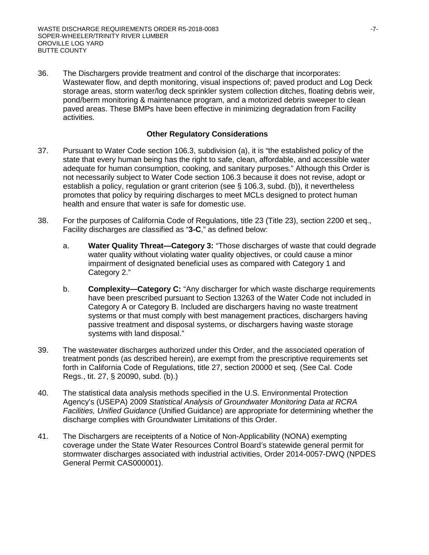36. The Dischargers provide treatment and control of the discharge that incorporates: Wastewater flow, and depth monitoring, visual inspections of; paved product and Log Deck storage areas, storm water/log deck sprinkler system collection ditches, floating debris weir, pond/berm monitoring & maintenance program, and a motorized debris sweeper to clean paved areas. These BMPs have been effective in minimizing degradation from Facility activities.

#### **Other Regulatory Considerations**

- 37. Pursuant to Water Code section 106.3, subdivision (a), it is "the established policy of the state that every human being has the right to safe, clean, affordable, and accessible water adequate for human consumption, cooking, and sanitary purposes." Although this Order is not necessarily subject to Water Code section 106.3 because it does not revise, adopt or establish a policy, regulation or grant criterion (see § 106.3, subd. (b)), it nevertheless promotes that policy by requiring discharges to meet MCLs designed to protect human health and ensure that water is safe for domestic use.
- 38. For the purposes of California Code of Regulations, title 23 (Title 23), section 2200 et seq., Facility discharges are classified as "**3-C**," as defined below:
	- a. **Water Quality Threat—Category 3:** "Those discharges of waste that could degrade water quality without violating water quality objectives, or could cause a minor impairment of designated beneficial uses as compared with Category 1 and Category 2."
	- b. **Complexity—Category C:** "Any discharger for which waste discharge requirements have been prescribed pursuant to Section 13263 of the Water Code not included in Category A or Category B. Included are dischargers having no waste treatment systems or that must comply with best management practices, dischargers having passive treatment and disposal systems, or dischargers having waste storage systems with land disposal."
- 39. The wastewater discharges authorized under this Order, and the associated operation of treatment ponds (as described herein), are exempt from the prescriptive requirements set forth in California Code of Regulations, title 27, section 20000 et seq. (See Cal. Code Regs., tit. 27, § 20090, subd. (b).)
- 40. The statistical data analysis methods specified in the U.S. Environmental Protection Agency's (USEPA) 2009 *Statistical Analysis of Groundwater Monitoring Data at RCRA Facilities, Unified Guidance* (Unified Guidance) are appropriate for determining whether the discharge complies with Groundwater Limitations of this Order.
- 41. The Dischargers are receiptents of a Notice of Non-Applicability (NONA) exempting coverage under the State Water Resources Control Board's statewide general permit for stormwater discharges associated with industrial activities, Order 2014-0057-DWQ (NPDES General Permit CAS000001).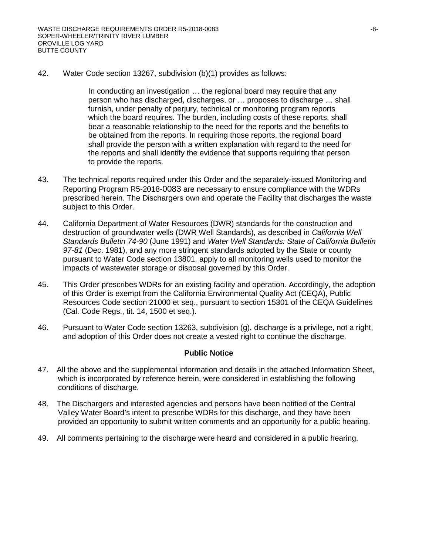42. Water Code section 13267, subdivision (b)(1) provides as follows:

In conducting an investigation … the regional board may require that any person who has discharged, discharges, or … proposes to discharge … shall furnish, under penalty of perjury, technical or monitoring program reports which the board requires. The burden, including costs of these reports, shall bear a reasonable relationship to the need for the reports and the benefits to be obtained from the reports. In requiring those reports, the regional board shall provide the person with a written explanation with regard to the need for the reports and shall identify the evidence that supports requiring that person to provide the reports.

- 43. The technical reports required under this Order and the separately-issued Monitoring and Reporting Program R5-2018-0083 are necessary to ensure compliance with the WDRs prescribed herein. The Dischargers own and operate the Facility that discharges the waste subject to this Order.
- 44. California Department of Water Resources (DWR) standards for the construction and destruction of groundwater wells (DWR Well Standards), as described in *California Well Standards Bulletin 74-90* (June 1991) and *Water Well Standards: State of California Bulletin 97-81* (Dec. 1981), and any more stringent standards adopted by the State or county pursuant to Water Code section 13801, apply to all monitoring wells used to monitor the impacts of wastewater storage or disposal governed by this Order.
- 45. This Order prescribes WDRs for an existing facility and operation. Accordingly, the adoption of this Order is exempt from the California Environmental Quality Act (CEQA), Public Resources Code section 21000 et seq., pursuant to section 15301 of the CEQA Guidelines (Cal. Code Regs., tit. 14, 1500 et seq.).
- 46. Pursuant to Water Code section 13263, subdivision (g), discharge is a privilege, not a right, and adoption of this Order does not create a vested right to continue the discharge.

#### **Public Notice**

- 47. All the above and the supplemental information and details in the attached Information Sheet, which is incorporated by reference herein, were considered in establishing the following conditions of discharge.
- 48. The Dischargers and interested agencies and persons have been notified of the Central Valley Water Board's intent to prescribe WDRs for this discharge, and they have been provided an opportunity to submit written comments and an opportunity for a public hearing.
- 49. All comments pertaining to the discharge were heard and considered in a public hearing.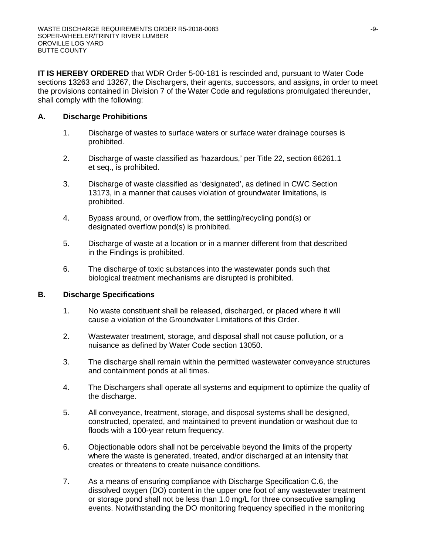**IT IS HEREBY ORDERED** that WDR Order 5-00-181 is rescinded and, pursuant to Water Code sections 13263 and 13267, the Dischargers, their agents, successors, and assigns, in order to meet the provisions contained in Division 7 of the Water Code and regulations promulgated thereunder, shall comply with the following:

## **A. Discharge Prohibitions**

- 1. Discharge of wastes to surface waters or surface water drainage courses is prohibited.
- 2. Discharge of waste classified as 'hazardous,' per Title 22, section 66261.1 et seq., is prohibited.
- 3. Discharge of waste classified as 'designated', as defined in CWC Section 13173, in a manner that causes violation of groundwater limitations, is prohibited.
- 4. Bypass around, or overflow from, the settling/recycling pond(s) or designated overflow pond(s) is prohibited.
- 5. Discharge of waste at a location or in a manner different from that described in the Findings is prohibited.
- 6. The discharge of toxic substances into the wastewater ponds such that biological treatment mechanisms are disrupted is prohibited.

## **B. Discharge Specifications**

- 1. No waste constituent shall be released, discharged, or placed where it will cause a violation of the Groundwater Limitations of this Order.
- 2. Wastewater treatment, storage, and disposal shall not cause pollution, or a nuisance as defined by Water Code section 13050.
- 3. The discharge shall remain within the permitted wastewater conveyance structures and containment ponds at all times.
- 4. The Dischargers shall operate all systems and equipment to optimize the quality of the discharge.
- 5. All conveyance, treatment, storage, and disposal systems shall be designed, constructed, operated, and maintained to prevent inundation or washout due to floods with a 100-year return frequency.
- 6. Objectionable odors shall not be perceivable beyond the limits of the property where the waste is generated, treated, and/or discharged at an intensity that creates or threatens to create nuisance conditions.
- 7. As a means of ensuring compliance with Discharge Specification C.6, the dissolved oxygen (DO) content in the upper one foot of any wastewater treatment or storage pond shall not be less than 1.0 mg/L for three consecutive sampling events. Notwithstanding the DO monitoring frequency specified in the monitoring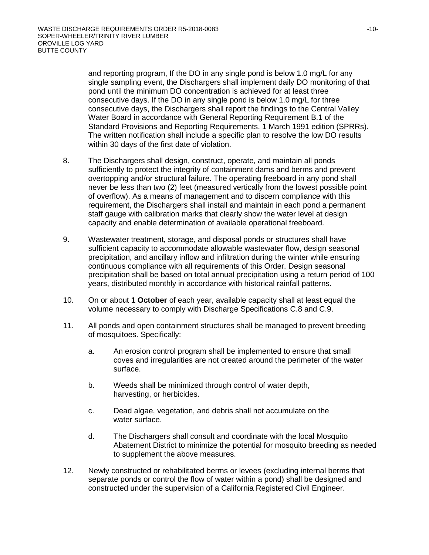and reporting program, If the DO in any single pond is below 1.0 mg/L for any single sampling event, the Dischargers shall implement daily DO monitoring of that pond until the minimum DO concentration is achieved for at least three consecutive days. If the DO in any single pond is below 1.0 mg/L for three consecutive days, the Dischargers shall report the findings to the Central Valley Water Board in accordance with General Reporting Requirement B.1 of the Standard Provisions and Reporting Requirements, 1 March 1991 edition (SPRRs). The written notification shall include a specific plan to resolve the low DO results within 30 days of the first date of violation.

- 8. The Dischargers shall design, construct, operate, and maintain all ponds sufficiently to protect the integrity of containment dams and berms and prevent overtopping and/or structural failure. The operating freeboard in any pond shall never be less than two (2) feet (measured vertically from the lowest possible point of overflow). As a means of management and to discern compliance with this requirement, the Dischargers shall install and maintain in each pond a permanent staff gauge with calibration marks that clearly show the water level at design capacity and enable determination of available operational freeboard.
- 9. Wastewater treatment, storage, and disposal ponds or structures shall have sufficient capacity to accommodate allowable wastewater flow, design seasonal precipitation, and ancillary inflow and infiltration during the winter while ensuring continuous compliance with all requirements of this Order. Design seasonal precipitation shall be based on total annual precipitation using a return period of 100 years, distributed monthly in accordance with historical rainfall patterns.
- 10. On or about **1 October** of each year, available capacity shall at least equal the volume necessary to comply with Discharge Specifications C.8 and C.9.
- 11. All ponds and open containment structures shall be managed to prevent breeding of mosquitoes. Specifically:
	- a. An erosion control program shall be implemented to ensure that small coves and irregularities are not created around the perimeter of the water surface.
	- b. Weeds shall be minimized through control of water depth, harvesting, or herbicides.
	- c. Dead algae, vegetation, and debris shall not accumulate on the water surface.
	- d. The Dischargers shall consult and coordinate with the local Mosquito Abatement District to minimize the potential for mosquito breeding as needed to supplement the above measures.
- 12. Newly constructed or rehabilitated berms or levees (excluding internal berms that separate ponds or control the flow of water within a pond) shall be designed and constructed under the supervision of a California Registered Civil Engineer.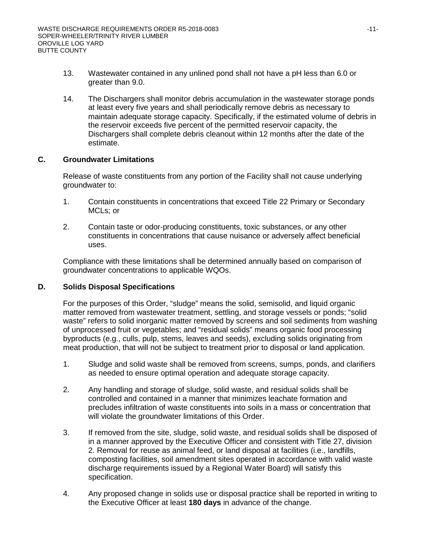- 13. Wastewater contained in any unlined pond shall not have a pH less than 6.0 or greater than 9.0.
- 14. The Dischargers shall monitor debris accumulation in the wastewater storage ponds at least every five years and shall periodically remove debris as necessary to maintain adequate storage capacity. Specifically, if the estimated volume of debris in the reservoir exceeds five percent of the permitted reservoir capacity, the Dischargers shall complete debris cleanout within 12 months after the date of the estimate.

## **C. Groundwater Limitations**

Release of waste constituents from any portion of the Facility shall not cause underlying groundwater to:

- 1. Contain constituents in concentrations that exceed Title 22 Primary or Secondary MCLs; or
- 2. Contain taste or odor-producing constituents, toxic substances, or any other constituents in concentrations that cause nuisance or adversely affect beneficial uses.

Compliance with these limitations shall be determined annually based on comparison of groundwater concentrations to applicable WQOs.

## **D. Solids Disposal Specifications**

For the purposes of this Order, "sludge" means the solid, semisolid, and liquid organic matter removed from wastewater treatment, settling, and storage vessels or ponds; "solid waste" refers to solid inorganic matter removed by screens and soil sediments from washing of unprocessed fruit or vegetables; and "residual solids" means organic food processing byproducts (e.g., culls, pulp, stems, leaves and seeds), excluding solids originating from meat production, that will not be subject to treatment prior to disposal or land application.

- 1. Sludge and solid waste shall be removed from screens, sumps, ponds, and clarifiers as needed to ensure optimal operation and adequate storage capacity.
- 2. Any handling and storage of sludge, solid waste, and residual solids shall be controlled and contained in a manner that minimizes leachate formation and precludes infiltration of waste constituents into soils in a mass or concentration that will violate the groundwater limitations of this Order.
- 3. If removed from the site, sludge, solid waste, and residual solids shall be disposed of in a manner approved by the Executive Officer and consistent with Title 27, division 2. Removal for reuse as animal feed, or land disposal at facilities (i.e., landfills, composting facilities, soil amendment sites operated in accordance with valid waste discharge requirements issued by a Regional Water Board) will satisfy this specification.
- 4. Any proposed change in solids use or disposal practice shall be reported in writing to the Executive Officer at least **180 days** in advance of the change.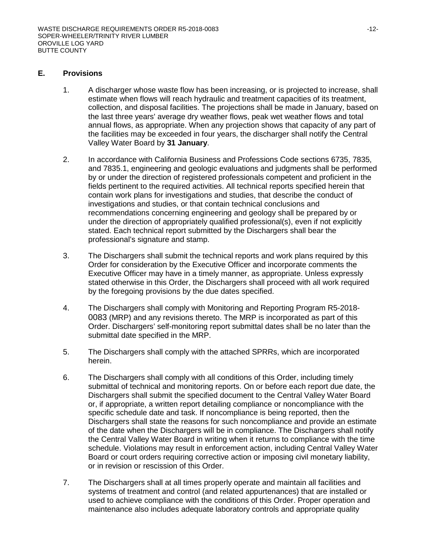#### **E. Provisions**

- 1. A discharger whose waste flow has been increasing, or is projected to increase, shall estimate when flows will reach hydraulic and treatment capacities of its treatment, collection, and disposal facilities. The projections shall be made in January, based on the last three years' average dry weather flows, peak wet weather flows and total annual flows, as appropriate. When any projection shows that capacity of any part of the facilities may be exceeded in four years, the discharger shall notify the Central Valley Water Board by **31 January**.
- 2. In accordance with California Business and Professions Code sections 6735, 7835, and 7835.1, engineering and geologic evaluations and judgments shall be performed by or under the direction of registered professionals competent and proficient in the fields pertinent to the required activities. All technical reports specified herein that contain work plans for investigations and studies, that describe the conduct of investigations and studies, or that contain technical conclusions and recommendations concerning engineering and geology shall be prepared by or under the direction of appropriately qualified professional(s), even if not explicitly stated. Each technical report submitted by the Dischargers shall bear the professional's signature and stamp.
- 3. The Dischargers shall submit the technical reports and work plans required by this Order for consideration by the Executive Officer and incorporate comments the Executive Officer may have in a timely manner, as appropriate. Unless expressly stated otherwise in this Order, the Dischargers shall proceed with all work required by the foregoing provisions by the due dates specified.
- 4. The Dischargers shall comply with Monitoring and Reporting Program R5-2018- 0083 (MRP) and any revisions thereto. The MRP is incorporated as part of this Order. Dischargers' self-monitoring report submittal dates shall be no later than the submittal date specified in the MRP.
- 5. The Dischargers shall comply with the attached SPRRs, which are incorporated herein.
- 6. The Dischargers shall comply with all conditions of this Order, including timely submittal of technical and monitoring reports. On or before each report due date, the Dischargers shall submit the specified document to the Central Valley Water Board or, if appropriate, a written report detailing compliance or noncompliance with the specific schedule date and task. If noncompliance is being reported, then the Dischargers shall state the reasons for such noncompliance and provide an estimate of the date when the Dischargers will be in compliance. The Dischargers shall notify the Central Valley Water Board in writing when it returns to compliance with the time schedule. Violations may result in enforcement action, including Central Valley Water Board or court orders requiring corrective action or imposing civil monetary liability, or in revision or rescission of this Order.
- 7. The Dischargers shall at all times properly operate and maintain all facilities and systems of treatment and control (and related appurtenances) that are installed or used to achieve compliance with the conditions of this Order. Proper operation and maintenance also includes adequate laboratory controls and appropriate quality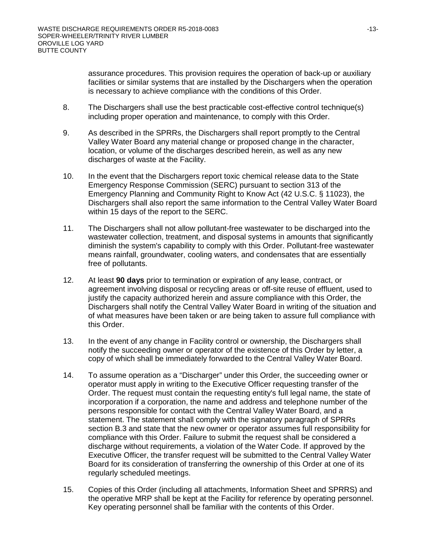assurance procedures. This provision requires the operation of back-up or auxiliary facilities or similar systems that are installed by the Dischargers when the operation is necessary to achieve compliance with the conditions of this Order.

- 8. The Dischargers shall use the best practicable cost-effective control technique(s) including proper operation and maintenance, to comply with this Order.
- 9. As described in the SPRRs, the Dischargers shall report promptly to the Central Valley Water Board any material change or proposed change in the character, location, or volume of the discharges described herein, as well as any new discharges of waste at the Facility.
- 10. In the event that the Dischargers report toxic chemical release data to the State Emergency Response Commission (SERC) pursuant to section 313 of the Emergency Planning and Community Right to Know Act (42 U.S.C. § 11023), the Dischargers shall also report the same information to the Central Valley Water Board within 15 days of the report to the SERC.
- 11. The Dischargers shall not allow pollutant-free wastewater to be discharged into the wastewater collection, treatment, and disposal systems in amounts that significantly diminish the system's capability to comply with this Order. Pollutant-free wastewater means rainfall, groundwater, cooling waters, and condensates that are essentially free of pollutants.
- 12. At least **90 days** prior to termination or expiration of any lease, contract, or agreement involving disposal or recycling areas or off-site reuse of effluent, used to justify the capacity authorized herein and assure compliance with this Order, the Dischargers shall notify the Central Valley Water Board in writing of the situation and of what measures have been taken or are being taken to assure full compliance with this Order.
- 13. In the event of any change in Facility control or ownership, the Dischargers shall notify the succeeding owner or operator of the existence of this Order by letter, a copy of which shall be immediately forwarded to the Central Valley Water Board.
- 14. To assume operation as a "Discharger" under this Order, the succeeding owner or operator must apply in writing to the Executive Officer requesting transfer of the Order. The request must contain the requesting entity's full legal name, the state of incorporation if a corporation, the name and address and telephone number of the persons responsible for contact with the Central Valley Water Board, and a statement. The statement shall comply with the signatory paragraph of SPRRs section B.3 and state that the new owner or operator assumes full responsibility for compliance with this Order. Failure to submit the request shall be considered a discharge without requirements, a violation of the Water Code. If approved by the Executive Officer, the transfer request will be submitted to the Central Valley Water Board for its consideration of transferring the ownership of this Order at one of its regularly scheduled meetings.
- 15. Copies of this Order (including all attachments, Information Sheet and SPRRS) and the operative MRP shall be kept at the Facility for reference by operating personnel. Key operating personnel shall be familiar with the contents of this Order.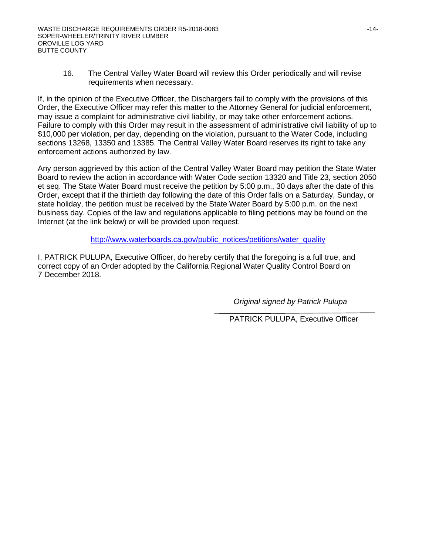16. The Central Valley Water Board will review this Order periodically and will revise requirements when necessary.

If, in the opinion of the Executive Officer, the Dischargers fail to comply with the provisions of this Order, the Executive Officer may refer this matter to the Attorney General for judicial enforcement, may issue a complaint for administrative civil liability, or may take other enforcement actions. Failure to comply with this Order may result in the assessment of administrative civil liability of up to \$10,000 per violation, per day, depending on the violation, pursuant to the Water Code, including sections 13268, 13350 and 13385. The Central Valley Water Board reserves its right to take any enforcement actions authorized by law.

Any person aggrieved by this action of the Central Valley Water Board may petition the State Water Board to review the action in accordance with Water Code section 13320 and Title 23, section 2050 et seq. The State Water Board must receive the petition by 5:00 p.m., 30 days after the date of this Order, except that if the thirtieth day following the date of this Order falls on a Saturday, Sunday, or state holiday, the petition must be received by the State Water Board by 5:00 p.m. on the next business day. Copies of the law and regulations applicable to filing petitions may be found on the Internet (at the link below) or will be provided upon request.

[http://www.waterboards.ca.gov/public\\_notices/petitions/water\\_quality](http://www.waterboards.ca.gov/public_notices/petitions/water_quality)

I, PATRICK PULUPA, Executive Officer, do hereby certify that the foregoing is a full true, and correct copy of an Order adopted by the California Regional Water Quality Control Board on 7 December 2018.

*Original signed by Patrick Pulupa*

PATRICK PULUPA, Executive Officer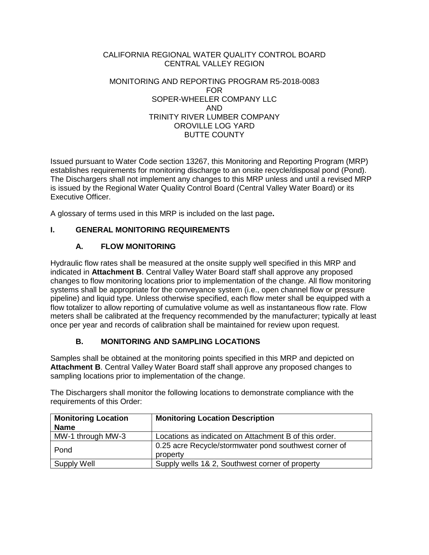## CALIFORNIA REGIONAL WATER QUALITY CONTROL BOARD CENTRAL VALLEY REGION

#### MONITORING AND REPORTING PROGRAM R5-2018-0083 FOR SOPER-WHEELER COMPANY LLC AND TRINITY RIVER LUMBER COMPANY OROVILLE LOG YARD BUTTE COUNTY

Issued pursuant to Water Code section 13267, this Monitoring and Reporting Program (MRP) establishes requirements for monitoring discharge to an onsite recycle/disposal pond (Pond). The Dischargers shall not implement any changes to this MRP unless and until a revised MRP is issued by the Regional Water Quality Control Board (Central Valley Water Board) or its Executive Officer.

A glossary of terms used in this MRP is included on the last page**.**

# **I. GENERAL MONITORING REQUIREMENTS**

# **A. FLOW MONITORING**

Hydraulic flow rates shall be measured at the onsite supply well specified in this MRP and indicated in **Attachment B**. Central Valley Water Board staff shall approve any proposed changes to flow monitoring locations prior to implementation of the change. All flow monitoring systems shall be appropriate for the conveyance system (i.e., open channel flow or pressure pipeline) and liquid type. Unless otherwise specified, each flow meter shall be equipped with a flow totalizer to allow reporting of cumulative volume as well as instantaneous flow rate. Flow meters shall be calibrated at the frequency recommended by the manufacturer; typically at least once per year and records of calibration shall be maintained for review upon request.

# **B. MONITORING AND SAMPLING LOCATIONS**

Samples shall be obtained at the monitoring points specified in this MRP and depicted on **Attachment B**. Central Valley Water Board staff shall approve any proposed changes to sampling locations prior to implementation of the change.

The Dischargers shall monitor the following locations to demonstrate compliance with the requirements of this Order:

| <b>Monitoring Location</b><br><b>Name</b> | <b>Monitoring Location Description</b>                            |
|-------------------------------------------|-------------------------------------------------------------------|
| MW-1 through MW-3                         | Locations as indicated on Attachment B of this order.             |
| Pond                                      | 0.25 acre Recycle/stormwater pond southwest corner of<br>property |
| Supply Well                               | Supply wells 1& 2, Southwest corner of property                   |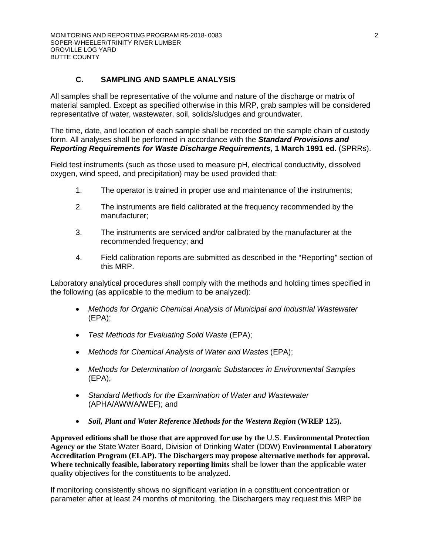# **C. SAMPLING AND SAMPLE ANALYSIS**

All samples shall be representative of the volume and nature of the discharge or matrix of material sampled. Except as specified otherwise in this MRP, grab samples will be considered representative of water, wastewater, soil, solids/sludges and groundwater.

The time, date, and location of each sample shall be recorded on the sample chain of custody form. All analyses shall be performed in accordance with the *Standard Provisions and Reporting Requirements for Waste Discharge Requirements***, 1 March 1991 ed.** (SPRRs).

Field test instruments (such as those used to measure pH, electrical conductivity, dissolved oxygen, wind speed, and precipitation) may be used provided that:

- 1. The operator is trained in proper use and maintenance of the instruments;
- 2. The instruments are field calibrated at the frequency recommended by the manufacturer;
- 3. The instruments are serviced and/or calibrated by the manufacturer at the recommended frequency; and
- 4. Field calibration reports are submitted as described in the "Reporting" section of this MRP.

Laboratory analytical procedures shall comply with the methods and holding times specified in the following (as applicable to the medium to be analyzed):

- *Methods for Organic Chemical Analysis of Municipal and Industrial Wastewater*  (EPA);
- *Test Methods for Evaluating Solid Waste* (EPA);
- *Methods for Chemical Analysis of Water and Wastes* (EPA);
- *Methods for Determination of Inorganic Substances in Environmental Samples*  (EPA);
- *Standard Methods for the Examination of Water and Wastewater*  (APHA/AWWA/WEF); and
- *Soil, Plant and Water Reference Methods for the Western Region (WREP 125).*

**Approved editions shall be those that are approved for use by the** U.S. **Environmental Protection Agency or the** State Water Board, Division of Drinking Water (DDW) **Environmental Laboratory Accreditation Program (ELAP). The Discharger**s **may propose alternative methods for approval. Where technically feasible, laboratory reporting limits** shall be lower than the applicable water quality objectives for the constituents to be analyzed.

If monitoring consistently shows no significant variation in a constituent concentration or parameter after at least 24 months of monitoring, the Dischargers may request this MRP be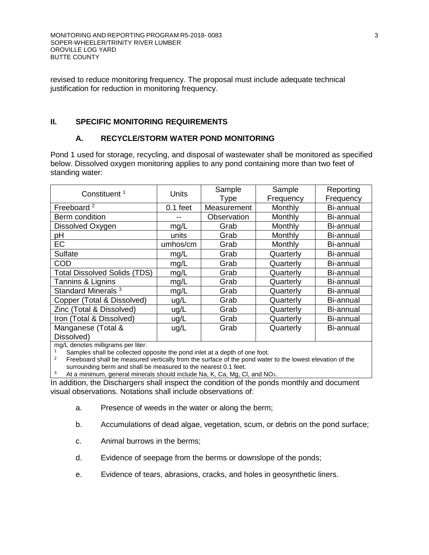revised to reduce monitoring frequency. The proposal must include adequate technical justification for reduction in monitoring frequency.

# **II. SPECIFIC MONITORING REQUIREMENTS**

## **A. RECYCLE/STORM WATER POND MONITORING**

Pond 1 used for storage, recycling, and disposal of wastewater shall be monitored as specified below. Dissolved oxygen monitoring applies to any pond containing more than two feet of standing water:

| Constituent <sup>1</sup>                 | <b>Units</b> | Sample      | Sample    | Reporting |
|------------------------------------------|--------------|-------------|-----------|-----------|
|                                          |              | Type        | Frequency | Frequency |
| Freeboard <sup>2</sup>                   | $0.1$ feet   | Measurement | Monthly   | Bi-annual |
| Berm condition                           |              | Observation | Monthly   | Bi-annual |
| Dissolved Oxygen                         | mg/L         | Grab        | Monthly   | Bi-annual |
| pH                                       | units        | Grab        | Monthly   | Bi-annual |
| <b>EC</b>                                | umhos/cm     | Grab        | Monthly   | Bi-annual |
| <b>Sulfate</b>                           | mg/L         | Grab        | Quarterly | Bi-annual |
| <b>COD</b>                               | mg/L         | Grab        | Quarterly | Bi-annual |
| <b>Total Dissolved Solids (TDS)</b>      | mg/L         | Grab        | Quarterly | Bi-annual |
| Tannins & Lignins                        | mg/L         | Grab        | Quarterly | Bi-annual |
| Standard Minerals <sup>3</sup>           | mg/L         | Grab        | Quarterly | Bi-annual |
| Copper (Total & Dissolved)               | ug/L         | Grab        | Quarterly | Bi-annual |
| Zinc (Total & Dissolved)                 | ug/L         | Grab        | Quarterly | Bi-annual |
| Iron (Total & Dissolved)                 | ug/L         | Grab        | Quarterly | Bi-annual |
| Manganese (Total &                       | ug/L         | Grab        | Quarterly | Bi-annual |
| Dissolved)                               |              |             |           |           |
| political dependence political political |              |             |           |           |

mg/L denotes milligrams per liter.<br>
<sup>1</sup> Samples shall be collected opposite the pond inlet at a depth of one foot.

<sup>2</sup> Freeboard shall be measured vertically from the surface of the pond water to the lowest elevation of the surrounding berm and shall be measured to the nearest 0.1 feet.

At a minimum, general minerals should include Na, K, Ca, Mg, Cl, and NO3.

In addition, the Dischargers shall inspect the condition of the ponds monthly and document visual observations. Notations shall include observations of:

- a. Presence of weeds in the water or along the berm;
- b. Accumulations of dead algae, vegetation, scum, or debris on the pond surface;
- c. Animal burrows in the berms;
- d. Evidence of seepage from the berms or downslope of the ponds;
- e. Evidence of tears, abrasions, cracks, and holes in geosynthetic liners.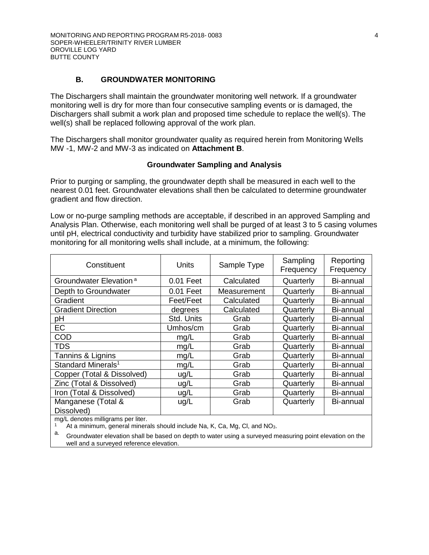## **B. GROUNDWATER MONITORING**

The Dischargers shall maintain the groundwater monitoring well network. If a groundwater monitoring well is dry for more than four consecutive sampling events or is damaged, the Dischargers shall submit a work plan and proposed time schedule to replace the well(s). The well(s) shall be replaced following approval of the work plan.

The Dischargers shall monitor groundwater quality as required herein from Monitoring Wells MW -1, MW-2 and MW-3 as indicated on **Attachment B**.

#### **Groundwater Sampling and Analysis**

Prior to purging or sampling, the groundwater depth shall be measured in each well to the nearest 0.01 feet. Groundwater elevations shall then be calculated to determine groundwater gradient and flow direction.

Low or no-purge sampling methods are acceptable, if described in an approved Sampling and Analysis Plan. Otherwise, each monitoring well shall be purged of at least 3 to 5 casing volumes until pH, electrical conductivity and turbidity have stabilized prior to sampling. Groundwater monitoring for all monitoring wells shall include, at a minimum, the following:

| Constituent                        | Units       | Sample Type | Sampling<br>Frequency | Reporting<br>Frequency |
|------------------------------------|-------------|-------------|-----------------------|------------------------|
| Groundwater Elevation <sup>a</sup> | 0.01 Feet   | Calculated  | Quarterly             | Bi-annual              |
| Depth to Groundwater               | $0.01$ Feet | Measurement | Quarterly             | Bi-annual              |
| Gradient                           | Feet/Feet   | Calculated  | Quarterly             | Bi-annual              |
| <b>Gradient Direction</b>          | degrees     | Calculated  | Quarterly             | Bi-annual              |
| pH                                 | Std. Units  | Grab        | Quarterly             | Bi-annual              |
| EC                                 | Umhos/cm    | Grab        | Quarterly             | Bi-annual              |
| <b>COD</b>                         | mg/L        | Grab        | Quarterly             | Bi-annual              |
| <b>TDS</b>                         | mg/L        | Grab        | Quarterly             | Bi-annual              |
| Tannins & Lignins                  | mg/L        | Grab        | Quarterly             | Bi-annual              |
| Standard Minerals <sup>1</sup>     | mg/L        | Grab        | Quarterly             | Bi-annual              |
| Copper (Total & Dissolved)         | ug/L        | Grab        | Quarterly             | Bi-annual              |
| Zinc (Total & Dissolved)           | ug/L        | Grab        | Quarterly             | Bi-annual              |
| Iron (Total & Dissolved)           | ug/L        | Grab        | Quarterly             | Bi-annual              |
| Manganese (Total &                 | ug/L        | Grab        | Quarterly             | Bi-annual              |
| Dissolved)                         |             |             |                       |                        |
| mall depotes milliarame per liter  |             |             |                       |                        |

mg/L denotes milligrams per liter.<br>1. At a minimum apperal miner

At a minimum, general minerals should include Na, K, Ca, Mg, Cl, and NO<sub>3</sub>.

a. Groundwater elevation shall be based on depth to water using a surveyed measuring point elevation on the well and a surveyed reference elevation.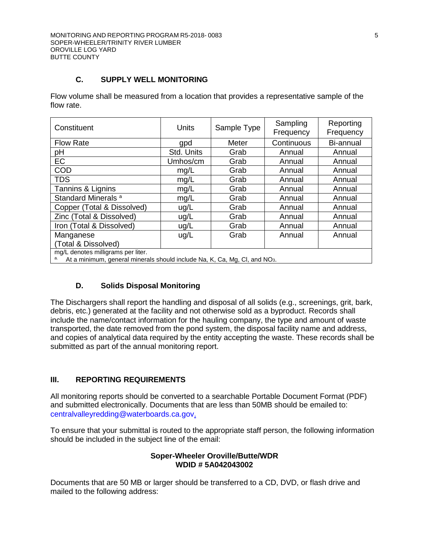# **C. SUPPLY WELL MONITORING**

Flow volume shall be measured from a location that provides a representative sample of the flow rate.

| Constituent                                                                                                                        | <b>Units</b> | Sample Type | Sampling<br>Frequency | Reporting<br>Frequency |
|------------------------------------------------------------------------------------------------------------------------------------|--------------|-------------|-----------------------|------------------------|
| <b>Flow Rate</b>                                                                                                                   | gpd          | Meter       | Continuous            | Bi-annual              |
| pH                                                                                                                                 | Std. Units   | Grab        | Annual                | Annual                 |
| EC                                                                                                                                 | Umhos/cm     | Grab        | Annual                | Annual                 |
| <b>COD</b>                                                                                                                         | mg/L         | Grab        | Annual                | Annual                 |
| <b>TDS</b>                                                                                                                         | mg/L         | Grab        | Annual                | Annual                 |
| Tannins & Lignins                                                                                                                  | mg/L         | Grab        | Annual                | Annual                 |
| Standard Minerals <sup>a</sup>                                                                                                     | mg/L         | Grab        | Annual                | Annual                 |
| Copper (Total & Dissolved)                                                                                                         | ug/L         | Grab        | Annual                | Annual                 |
| Zinc (Total & Dissolved)                                                                                                           | ug/L         | Grab        | Annual                | Annual                 |
| Iron (Total & Dissolved)                                                                                                           | ug/L         | Grab        | Annual                | Annual                 |
| Manganese                                                                                                                          | ug/L         | Grab        | Annual                | Annual                 |
| (Total & Dissolved)                                                                                                                |              |             |                       |                        |
| mg/L denotes milligrams per liter.<br>At a minimum, general minerals should include Na, K, Ca, Mg, Cl, and NO <sub>3</sub> .<br>a. |              |             |                       |                        |

# **D. Solids Disposal Monitoring**

The Dischargers shall report the handling and disposal of all solids (e.g., screenings, grit, bark, debris, etc.) generated at the facility and not otherwise sold as a byproduct. Records shall include the name/contact information for the hauling company, the type and amount of waste transported, the date removed from the pond system, the disposal facility name and address, and copies of analytical data required by the entity accepting the waste. These records shall be submitted as part of the annual monitoring report.

# **III. REPORTING REQUIREMENTS**

All monitoring reports should be converted to a searchable Portable Document Format (PDF) and submitted electronically. Documents that are less than 50MB should be emailed to: [centralvalleyredding@waterboards.ca.gov.](mailto:centralvalleyredding@waterboards.ca.gov)

To ensure that your submittal is routed to the appropriate staff person, the following information should be included in the subject line of the email:

#### **Soper-Wheeler Oroville/Butte/WDR WDID # 5A042043002**

Documents that are 50 MB or larger should be transferred to a CD, DVD, or flash drive and mailed to the following address: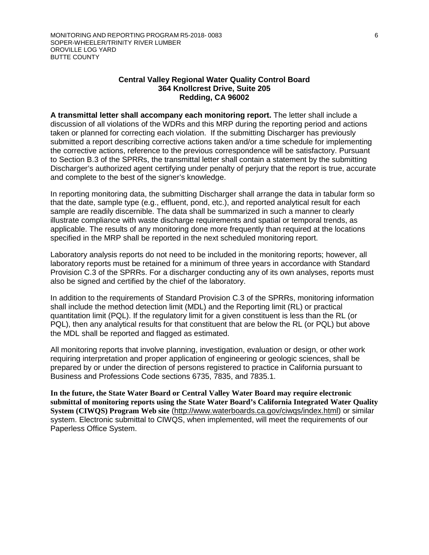#### **Central Valley Regional Water Quality Control Board 364 Knollcrest Drive, Suite 205 Redding, CA 96002**

**A transmittal letter shall accompany each monitoring report.** The letter shall include a discussion of all violations of the WDRs and this MRP during the reporting period and actions taken or planned for correcting each violation. If the submitting Discharger has previously submitted a report describing corrective actions taken and/or a time schedule for implementing the corrective actions, reference to the previous correspondence will be satisfactory. Pursuant to Section B.3 of the SPRRs, the transmittal letter shall contain a statement by the submitting Discharger's authorized agent certifying under penalty of perjury that the report is true, accurate and complete to the best of the signer's knowledge.

In reporting monitoring data, the submitting Discharger shall arrange the data in tabular form so that the date, sample type (e.g., effluent, pond, etc.), and reported analytical result for each sample are readily discernible. The data shall be summarized in such a manner to clearly illustrate compliance with waste discharge requirements and spatial or temporal trends, as applicable. The results of any monitoring done more frequently than required at the locations specified in the MRP shall be reported in the next scheduled monitoring report.

Laboratory analysis reports do not need to be included in the monitoring reports; however, all laboratory reports must be retained for a minimum of three years in accordance with Standard Provision C.3 of the SPRRs. For a discharger conducting any of its own analyses, reports must also be signed and certified by the chief of the laboratory.

In addition to the requirements of Standard Provision C.3 of the SPRRs, monitoring information shall include the method detection limit (MDL) and the Reporting limit (RL) or practical quantitation limit (PQL). If the regulatory limit for a given constituent is less than the RL (or PQL), then any analytical results for that constituent that are below the RL (or PQL) but above the MDL shall be reported and flagged as estimated.

All monitoring reports that involve planning, investigation, evaluation or design, or other work requiring interpretation and proper application of engineering or geologic sciences, shall be prepared by or under the direction of persons registered to practice in California pursuant to Business and Professions Code sections 6735, 7835, and 7835.1.

**In the future, the State Water Board or Central Valley Water Board may require electronic submittal of monitoring reports using the State Water Board's California Integrated Water Quality System (CIWQS) Program Web site** (http://www.waterboards.ca.gov/ciwqs/index.html) or similar system. Electronic submittal to CIWQS, when implemented, will meet the requirements of our Paperless Office System.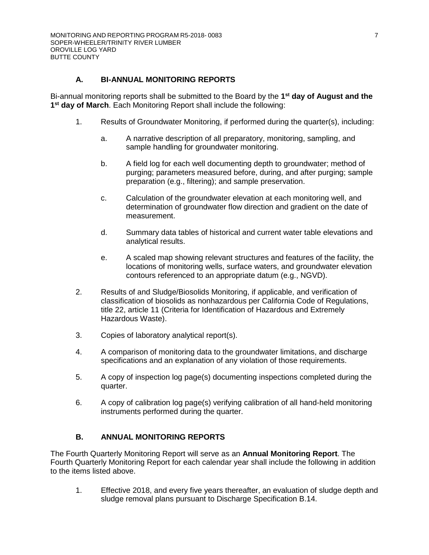# **A. BI-ANNUAL MONITORING REPORTS**

Bi-annual monitoring reports shall be submitted to the Board by the **1st day of August and the 1st day of March**. Each Monitoring Report shall include the following:

- 1. Results of Groundwater Monitoring, if performed during the quarter(s), including:
	- a. A narrative description of all preparatory, monitoring, sampling, and sample handling for groundwater monitoring.
	- b. A field log for each well documenting depth to groundwater; method of purging; parameters measured before, during, and after purging; sample preparation (e.g., filtering); and sample preservation.
	- c. Calculation of the groundwater elevation at each monitoring well, and determination of groundwater flow direction and gradient on the date of measurement.
	- d. Summary data tables of historical and current water table elevations and analytical results.
	- e. A scaled map showing relevant structures and features of the facility, the locations of monitoring wells, surface waters, and groundwater elevation contours referenced to an appropriate datum (e.g., NGVD).
- 2. Results of and Sludge/Biosolids Monitoring, if applicable, and verification of classification of biosolids as nonhazardous per California Code of Regulations, title 22, article 11 (Criteria for Identification of Hazardous and Extremely Hazardous Waste).
- 3. Copies of laboratory analytical report(s).
- 4. A comparison of monitoring data to the groundwater limitations, and discharge specifications and an explanation of any violation of those requirements.
- 5. A copy of inspection log page(s) documenting inspections completed during the quarter.
- 6. A copy of calibration log page(s) verifying calibration of all hand-held monitoring instruments performed during the quarter.

## **B. ANNUAL MONITORING REPORTS**

The Fourth Quarterly Monitoring Report will serve as an **Annual Monitoring Report**. The Fourth Quarterly Monitoring Report for each calendar year shall include the following in addition to the items listed above.

1. Effective 2018, and every five years thereafter, an evaluation of sludge depth and sludge removal plans pursuant to Discharge Specification B.14.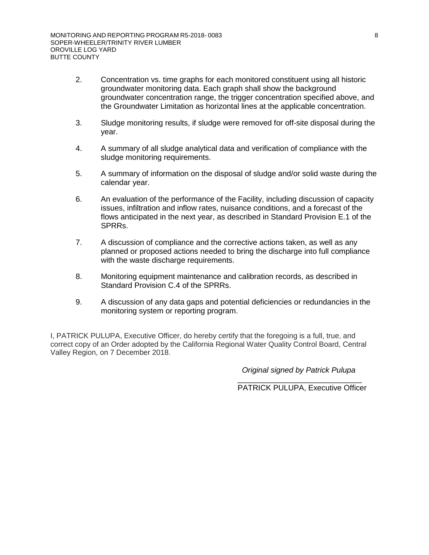- 2. Concentration vs. time graphs for each monitored constituent using all historic groundwater monitoring data. Each graph shall show the background groundwater concentration range, the trigger concentration specified above, and the Groundwater Limitation as horizontal lines at the applicable concentration.
- 3. Sludge monitoring results, if sludge were removed for off-site disposal during the year.
- 4. A summary of all sludge analytical data and verification of compliance with the sludge monitoring requirements.
- 5. A summary of information on the disposal of sludge and/or solid waste during the calendar year.
- 6. An evaluation of the performance of the Facility, including discussion of capacity issues, infiltration and inflow rates, nuisance conditions, and a forecast of the flows anticipated in the next year, as described in Standard Provision E.1 of the SPRRs.
- 7. A discussion of compliance and the corrective actions taken, as well as any planned or proposed actions needed to bring the discharge into full compliance with the waste discharge requirements.
- 8. Monitoring equipment maintenance and calibration records, as described in Standard Provision C.4 of the SPRRs.
- 9. A discussion of any data gaps and potential deficiencies or redundancies in the monitoring system or reporting program.

I, PATRICK PULUPA, Executive Officer, do hereby certify that the foregoing is a full, true, and correct copy of an Order adopted by the California Regional Water Quality Control Board, Central Valley Region, on 7 December 2018.

 *Original signed by Patrick Pulupa*

 $\overline{\phantom{a}}$  , and the contract of the contract of the contract of the contract of the contract of the contract of the contract of the contract of the contract of the contract of the contract of the contract of the contrac PATRICK PULUPA, Executive Officer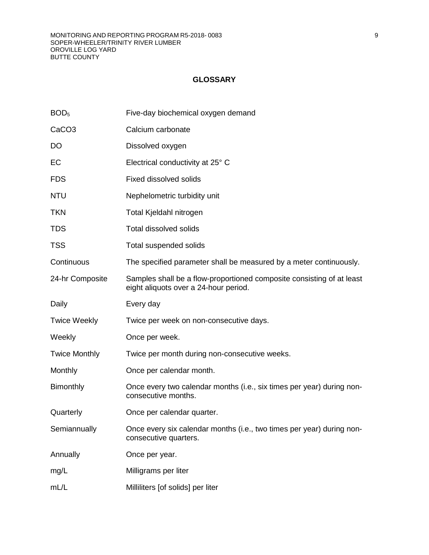# **GLOSSARY**

| BOD <sub>5</sub>     | Five-day biochemical oxygen demand                                                                             |
|----------------------|----------------------------------------------------------------------------------------------------------------|
| CaCO <sub>3</sub>    | Calcium carbonate                                                                                              |
| DO                   | Dissolved oxygen                                                                                               |
| EC                   | Electrical conductivity at 25° C                                                                               |
| <b>FDS</b>           | Fixed dissolved solids                                                                                         |
| <b>NTU</b>           | Nephelometric turbidity unit                                                                                   |
| <b>TKN</b>           | Total Kjeldahl nitrogen                                                                                        |
| <b>TDS</b>           | <b>Total dissolved solids</b>                                                                                  |
| <b>TSS</b>           | Total suspended solids                                                                                         |
| Continuous           | The specified parameter shall be measured by a meter continuously.                                             |
| 24-hr Composite      | Samples shall be a flow-proportioned composite consisting of at least<br>eight aliquots over a 24-hour period. |
| Daily                | Every day                                                                                                      |
| <b>Twice Weekly</b>  | Twice per week on non-consecutive days.                                                                        |
| Weekly               | Once per week.                                                                                                 |
| <b>Twice Monthly</b> | Twice per month during non-consecutive weeks.                                                                  |
| Monthly              | Once per calendar month.                                                                                       |
| <b>Bimonthly</b>     | Once every two calendar months (i.e., six times per year) during non-<br>consecutive months.                   |
| Quarterly            | Once per calendar quarter.                                                                                     |
| Semiannually         | Once every six calendar months (i.e., two times per year) during non-<br>consecutive quarters.                 |
| Annually             | Once per year.                                                                                                 |
| mg/L                 | Milligrams per liter                                                                                           |
| mL/L                 |                                                                                                                |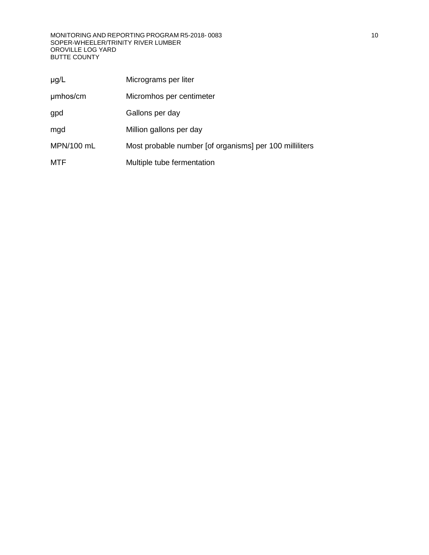MONITORING AND REPORTING PROGRAM R5-2018- 0083 10 SOPER-WHEELER/TRINITY RIVER LUMBER OROVILLE LOG YARD BUTTE COUNTY

| $\mu$ g/L  | Micrograms per liter                                    |
|------------|---------------------------------------------------------|
| µmbos/cm   | Micromhos per centimeter                                |
| gpd        | Gallons per day                                         |
| mgd        | Million gallons per day                                 |
| MPN/100 mL | Most probable number [of organisms] per 100 milliliters |
| <b>MTF</b> | Multiple tube fermentation                              |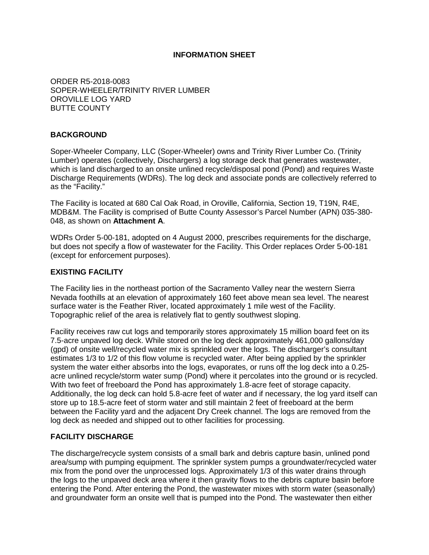# **INFORMATION SHEET**

ORDER R5-2018-0083 SOPER-WHEELER/TRINITY RIVER LUMBER OROVILLE LOG YARD BUTTE COUNTY

## **BACKGROUND**

Soper-Wheeler Company, LLC (Soper-Wheeler) owns and Trinity River Lumber Co. (Trinity Lumber) operates (collectively, Dischargers) a log storage deck that generates wastewater, which is land discharged to an onsite unlined recycle/disposal pond (Pond) and requires Waste Discharge Requirements (WDRs). The log deck and associate ponds are collectively referred to as the "Facility."

The Facility is located at 680 Cal Oak Road, in Oroville, California, Section 19, T19N, R4E, MDB&M. The Facility is comprised of Butte County Assessor's Parcel Number (APN) 035-380- 048, as shown on **Attachment A**.

WDRs Order 5-00-181, adopted on 4 August 2000, prescribes requirements for the discharge, but does not specify a flow of wastewater for the Facility. This Order replaces Order 5-00-181 (except for enforcement purposes).

#### **EXISTING FACILITY**

The Facility lies in the northeast portion of the Sacramento Valley near the western Sierra Nevada foothills at an elevation of approximately 160 feet above mean sea level. The nearest surface water is the Feather River, located approximately 1 mile west of the Facility. Topographic relief of the area is relatively flat to gently southwest sloping.

Facility receives raw cut logs and temporarily stores approximately 15 million board feet on its 7.5-acre unpaved log deck. While stored on the log deck approximately 461,000 gallons/day (gpd) of onsite well/recycled water mix is sprinkled over the logs. The discharger's consultant estimates 1/3 to 1/2 of this flow volume is recycled water. After being applied by the sprinkler system the water either absorbs into the logs, evaporates, or runs off the log deck into a 0.25 acre unlined recycle/storm water sump (Pond) where it percolates into the ground or is recycled. With two feet of freeboard the Pond has approximately 1.8-acre feet of storage capacity. Additionally, the log deck can hold 5.8-acre feet of water and if necessary, the log yard itself can store up to 18.5-acre feet of storm water and still maintain 2 feet of freeboard at the berm between the Facility yard and the adjacent Dry Creek channel. The logs are removed from the log deck as needed and shipped out to other facilities for processing.

## **FACILITY DISCHARGE**

The discharge/recycle system consists of a small bark and debris capture basin, unlined pond area/sump with pumping equipment. The sprinkler system pumps a groundwater/recycled water mix from the pond over the unprocessed logs. Approximately 1/3 of this water drains through the logs to the unpaved deck area where it then gravity flows to the debris capture basin before entering the Pond. After entering the Pond, the wastewater mixes with storm water (seasonally) and groundwater form an onsite well that is pumped into the Pond. The wastewater then either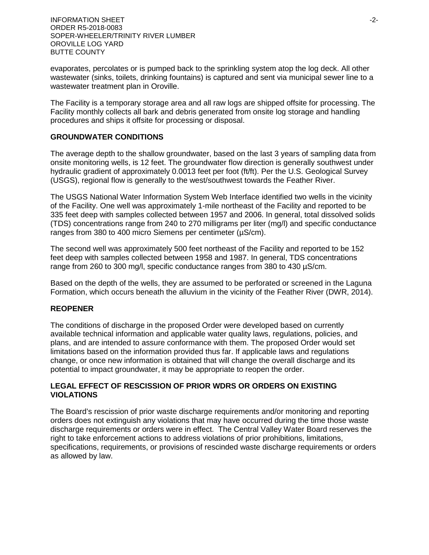INFORMATION SHEET -2- ORDER R5-2018-0083 SOPER-WHEELER/TRINITY RIVER LUMBER OROVILLE LOG YARD BUTTE COUNTY

evaporates, percolates or is pumped back to the sprinkling system atop the log deck. All other wastewater (sinks, toilets, drinking fountains) is captured and sent via municipal sewer line to a wastewater treatment plan in Oroville.

The Facility is a temporary storage area and all raw logs are shipped offsite for processing. The Facility monthly collects all bark and debris generated from onsite log storage and handling procedures and ships it offsite for processing or disposal.

#### **GROUNDWATER CONDITIONS**

The average depth to the shallow groundwater, based on the last 3 years of sampling data from onsite monitoring wells, is 12 feet. The groundwater flow direction is generally southwest under hydraulic gradient of approximately 0.0013 feet per foot (ft/ft). Per the U.S. Geological Survey (USGS), regional flow is generally to the west/southwest towards the Feather River.

The USGS National Water Information System Web Interface identified two wells in the vicinity of the Facility. One well was approximately 1-mile northeast of the Facility and reported to be 335 feet deep with samples collected between 1957 and 2006. In general, total dissolved solids (TDS) concentrations range from 240 to 270 milligrams per liter (mg/l) and specific conductance ranges from 380 to 400 micro Siemens per centimeter (µS/cm).

The second well was approximately 500 feet northeast of the Facility and reported to be 152 feet deep with samples collected between 1958 and 1987. In general, TDS concentrations range from 260 to 300 mg/l, specific conductance ranges from 380 to 430 µS/cm.

Based on the depth of the wells, they are assumed to be perforated or screened in the Laguna Formation, which occurs beneath the alluvium in the vicinity of the Feather River (DWR, 2014).

#### **REOPENER**

The conditions of discharge in the proposed Order were developed based on currently available technical information and applicable water quality laws, regulations, policies, and plans, and are intended to assure conformance with them. The proposed Order would set limitations based on the information provided thus far. If applicable laws and regulations change, or once new information is obtained that will change the overall discharge and its potential to impact groundwater, it may be appropriate to reopen the order.

#### **LEGAL EFFECT OF RESCISSION OF PRIOR WDRS OR ORDERS ON EXISTING VIOLATIONS**

The Board's rescission of prior waste discharge requirements and/or monitoring and reporting orders does not extinguish any violations that may have occurred during the time those waste discharge requirements or orders were in effect. The Central Valley Water Board reserves the right to take enforcement actions to address violations of prior prohibitions, limitations, specifications, requirements, or provisions of rescinded waste discharge requirements or orders as allowed by law.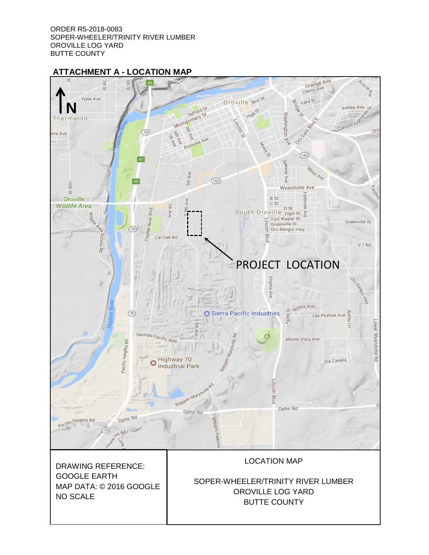ORDER R5-2018-0083 SOPER-WHEELER/TRINITY RIVER LUMBER OROVILLE LOG YARD BUTTE COUNTY

# **ATTACHMENT A - LOCATION MAP**